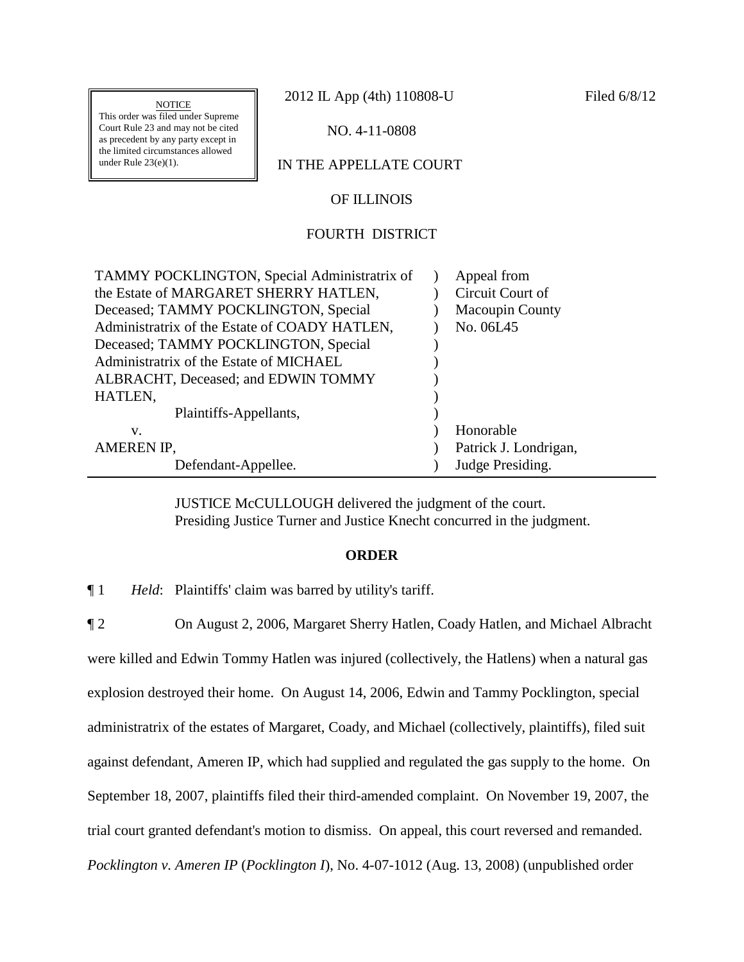**NOTICE** 

This order was filed under Supreme Court Rule 23 and may not be cited as precedent by any party except in the limited circumstances allowed under Rule 23(e)(1).

2012 IL App (4th) 110808-U Filed 6/8/12

NO. 4-11-0808

# IN THE APPELLATE COURT

## OF ILLINOIS

### FOURTH DISTRICT

| TAMMY POCKLINGTON, Special Administratrix of  | Appeal from            |
|-----------------------------------------------|------------------------|
| the Estate of MARGARET SHERRY HATLEN,         | Circuit Court of       |
| Deceased; TAMMY POCKLINGTON, Special          | <b>Macoupin County</b> |
| Administratrix of the Estate of COADY HATLEN, | No. 06L45              |
| Deceased; TAMMY POCKLINGTON, Special          |                        |
| Administratrix of the Estate of MICHAEL       |                        |
| ALBRACHT, Deceased; and EDWIN TOMMY           |                        |
| HATLEN,                                       |                        |
| Plaintiffs-Appellants,                        |                        |
| v.                                            | Honorable              |
| AMEREN IP,                                    | Patrick J. Londrigan,  |
| Defendant-Appellee.                           | Judge Presiding.       |

JUSTICE McCULLOUGH delivered the judgment of the court. Presiding Justice Turner and Justice Knecht concurred in the judgment.

#### **ORDER**

¶ 1 *Held*: Plaintiffs' claim was barred by utility's tariff.

¶ 2 On August 2, 2006, Margaret Sherry Hatlen, Coady Hatlen, and Michael Albracht were killed and Edwin Tommy Hatlen was injured (collectively, the Hatlens) when a natural gas explosion destroyed their home. On August 14, 2006, Edwin and Tammy Pocklington, special administratrix of the estates of Margaret, Coady, and Michael (collectively, plaintiffs), filed suit against defendant, Ameren IP, which had supplied and regulated the gas supply to the home. On September 18, 2007, plaintiffs filed their third-amended complaint. On November 19, 2007, the trial court granted defendant's motion to dismiss. On appeal, this court reversed and remanded. *Pocklington v. Ameren IP* (*Pocklington I*), No. 4-07-1012 (Aug. 13, 2008) (unpublished order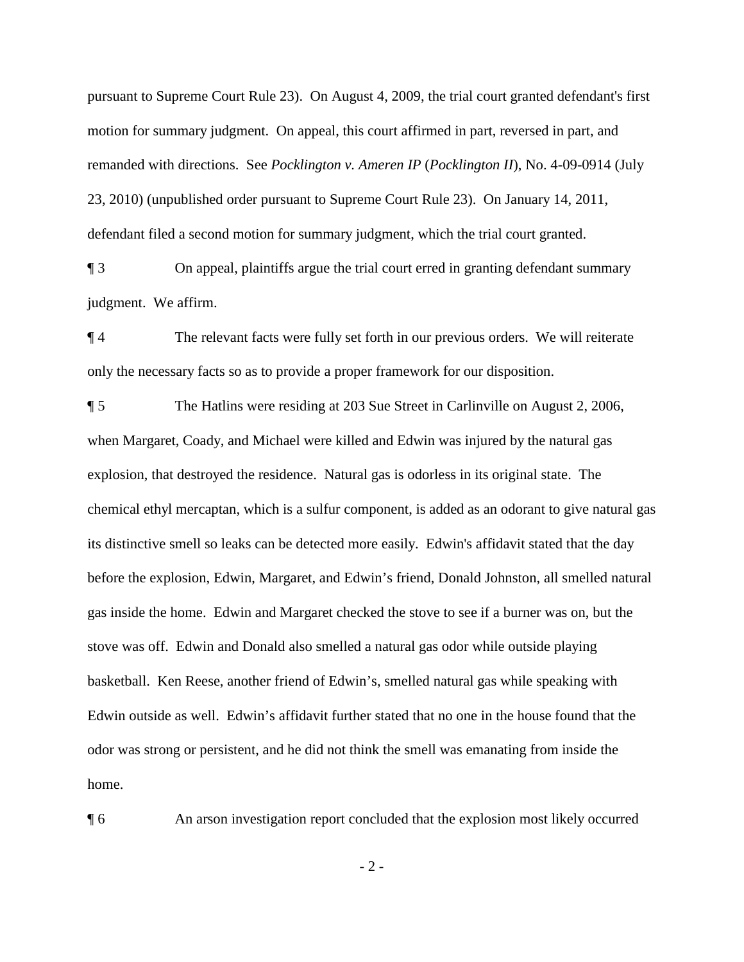pursuant to Supreme Court Rule 23). On August 4, 2009, the trial court granted defendant's first motion for summary judgment. On appeal, this court affirmed in part, reversed in part, and remanded with directions. See *Pocklington v. Ameren IP* (*Pocklington II*), No. 4-09-0914 (July 23, 2010) (unpublished order pursuant to Supreme Court Rule 23). On January 14, 2011, defendant filed a second motion for summary judgment, which the trial court granted.

¶ 3 On appeal, plaintiffs argue the trial court erred in granting defendant summary judgment. We affirm.

¶ 4 The relevant facts were fully set forth in our previous orders. We will reiterate only the necessary facts so as to provide a proper framework for our disposition.

¶ 5 The Hatlins were residing at 203 Sue Street in Carlinville on August 2, 2006, when Margaret, Coady, and Michael were killed and Edwin was injured by the natural gas explosion, that destroyed the residence. Natural gas is odorless in its original state. The chemical ethyl mercaptan, which is a sulfur component, is added as an odorant to give natural gas its distinctive smell so leaks can be detected more easily. Edwin's affidavit stated that the day before the explosion, Edwin, Margaret, and Edwin's friend, Donald Johnston, all smelled natural gas inside the home. Edwin and Margaret checked the stove to see if a burner was on, but the stove was off. Edwin and Donald also smelled a natural gas odor while outside playing basketball. Ken Reese, another friend of Edwin's, smelled natural gas while speaking with Edwin outside as well. Edwin's affidavit further stated that no one in the house found that the odor was strong or persistent, and he did not think the smell was emanating from inside the home.

¶ 6 An arson investigation report concluded that the explosion most likely occurred

- 2 -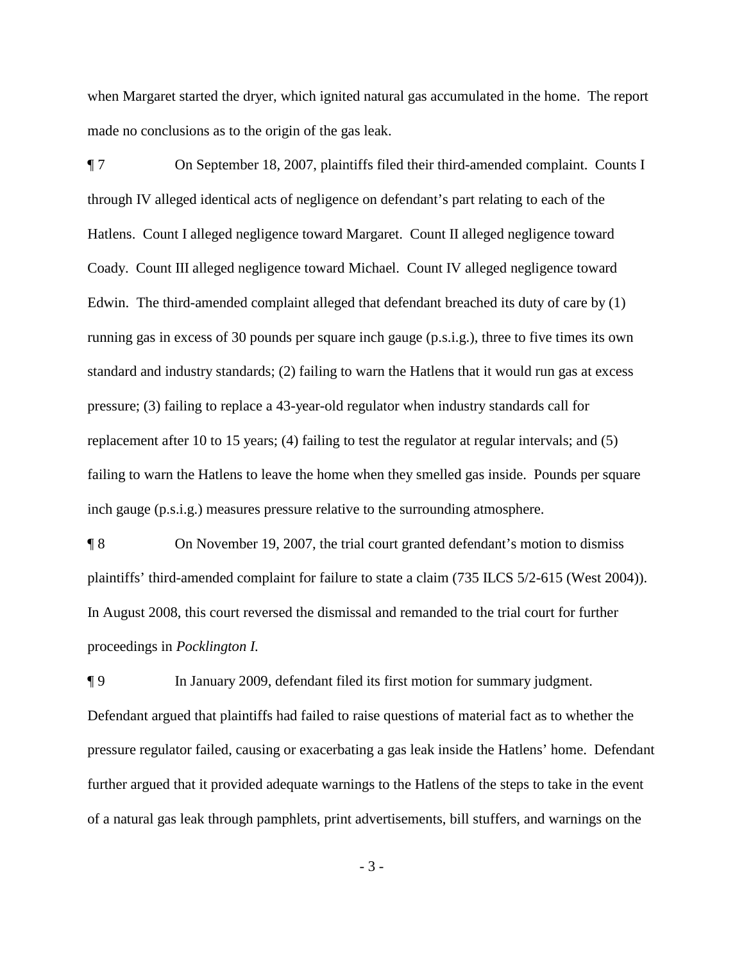when Margaret started the dryer, which ignited natural gas accumulated in the home. The report made no conclusions as to the origin of the gas leak.

¶ 7 On September 18, 2007, plaintiffs filed their third-amended complaint. Counts I through IV alleged identical acts of negligence on defendant's part relating to each of the Hatlens. Count I alleged negligence toward Margaret. Count II alleged negligence toward Coady. Count III alleged negligence toward Michael. Count IV alleged negligence toward Edwin. The third-amended complaint alleged that defendant breached its duty of care by (1) running gas in excess of 30 pounds per square inch gauge (p.s.i.g.), three to five times its own standard and industry standards; (2) failing to warn the Hatlens that it would run gas at excess pressure; (3) failing to replace a 43-year-old regulator when industry standards call for replacement after 10 to 15 years; (4) failing to test the regulator at regular intervals; and (5) failing to warn the Hatlens to leave the home when they smelled gas inside. Pounds per square inch gauge (p.s.i.g.) measures pressure relative to the surrounding atmosphere.

¶ 8 On November 19, 2007, the trial court granted defendant's motion to dismiss plaintiffs' third-amended complaint for failure to state a claim (735 ILCS 5/2-615 (West 2004)). In August 2008, this court reversed the dismissal and remanded to the trial court for further proceedings in *Pocklington I.*

¶ 9 In January 2009, defendant filed its first motion for summary judgment. Defendant argued that plaintiffs had failed to raise questions of material fact as to whether the pressure regulator failed, causing or exacerbating a gas leak inside the Hatlens' home. Defendant further argued that it provided adequate warnings to the Hatlens of the steps to take in the event of a natural gas leak through pamphlets, print advertisements, bill stuffers, and warnings on the

- 3 -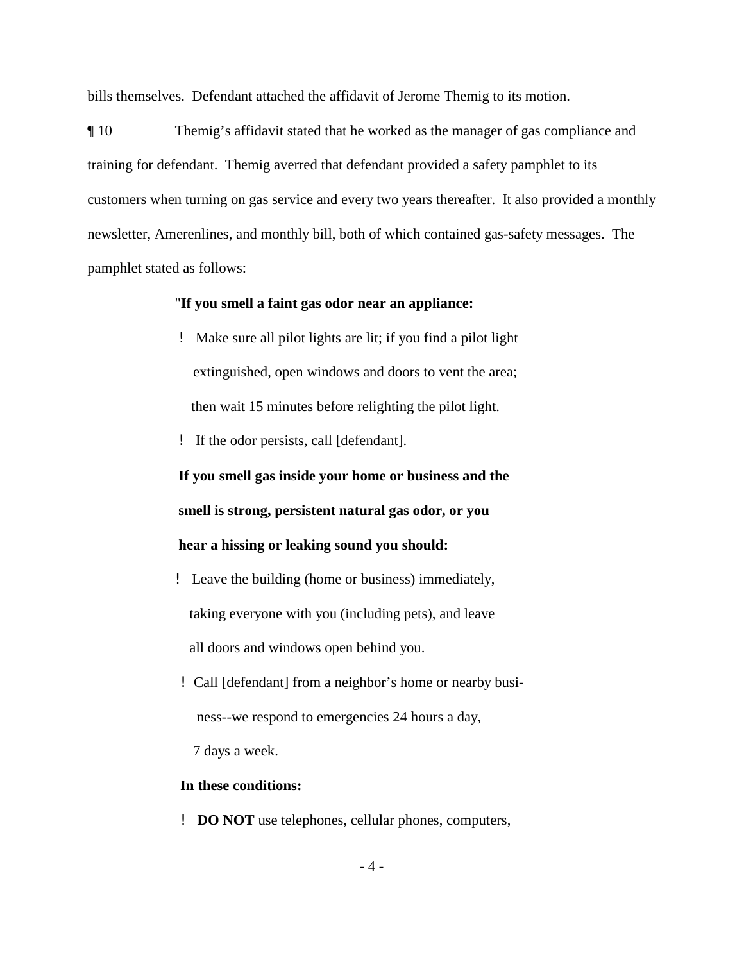bills themselves. Defendant attached the affidavit of Jerome Themig to its motion.

¶ 10 Themig's affidavit stated that he worked as the manager of gas compliance and training for defendant. Themig averred that defendant provided a safety pamphlet to its customers when turning on gas service and every two years thereafter. It also provided a monthly newsletter, Amerenlines, and monthly bill, both of which contained gas-safety messages. The pamphlet stated as follows:

### "**If you smell a faint gas odor near an appliance:**

- ! Make sure all pilot lights are lit; if you find a pilot light extinguished, open windows and doors to vent the area; then wait 15 minutes before relighting the pilot light.
- ! If the odor persists, call [defendant].

**If you smell gas inside your home or business and the smell is strong, persistent natural gas odor, or you hear a hissing or leaking sound you should:**

- ! Leave the building (home or business) immediately, taking everyone with you (including pets), and leave all doors and windows open behind you.
- ! Call [defendant] from a neighbor's home or nearby busi ness--we respond to emergencies 24 hours a day,

7 days a week.

#### **In these conditions:**

! **DO NOT** use telephones, cellular phones, computers,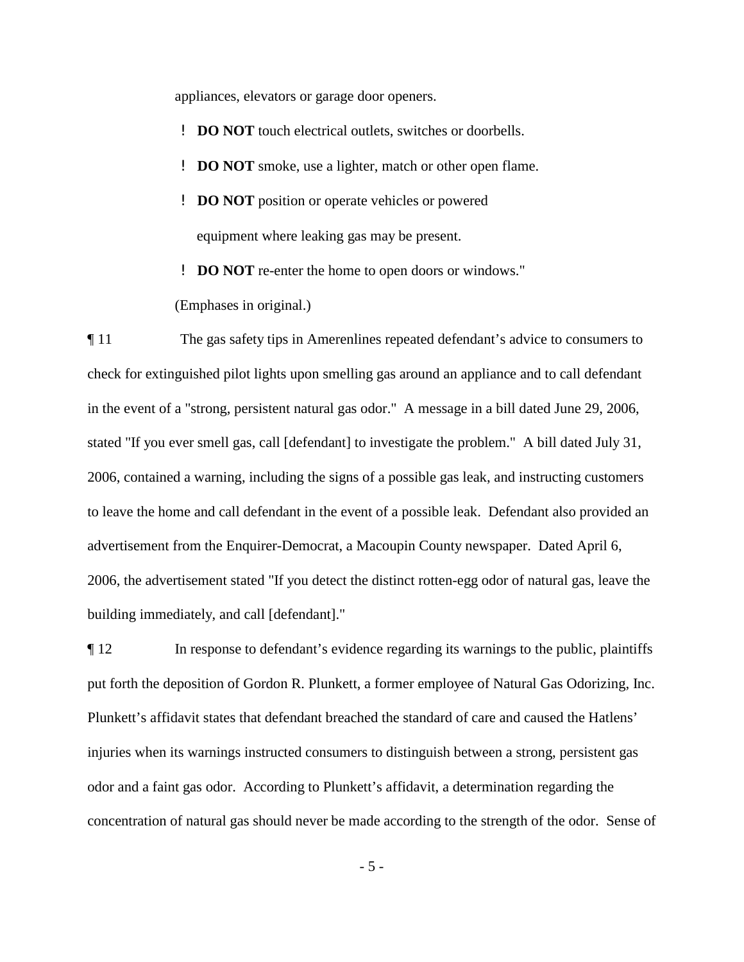appliances, elevators or garage door openers.

- ! **DO NOT** touch electrical outlets, switches or doorbells.
- ! **DO NOT** smoke, use a lighter, match or other open flame.
- ! **DO NOT** position or operate vehicles or powered equipment where leaking gas may be present.
- ! **DO NOT** re-enter the home to open doors or windows."

(Emphases in original.)

¶ 11 The gas safety tips in Amerenlines repeated defendant's advice to consumers to check for extinguished pilot lights upon smelling gas around an appliance and to call defendant in the event of a "strong, persistent natural gas odor." A message in a bill dated June 29, 2006, stated "If you ever smell gas, call [defendant] to investigate the problem." A bill dated July 31, 2006, contained a warning, including the signs of a possible gas leak, and instructing customers to leave the home and call defendant in the event of a possible leak. Defendant also provided an advertisement from the Enquirer-Democrat, a Macoupin County newspaper. Dated April 6, 2006, the advertisement stated "If you detect the distinct rotten-egg odor of natural gas, leave the building immediately, and call [defendant]."

¶ 12 In response to defendant's evidence regarding its warnings to the public, plaintiffs put forth the deposition of Gordon R. Plunkett, a former employee of Natural Gas Odorizing, Inc. Plunkett's affidavit states that defendant breached the standard of care and caused the Hatlens' injuries when its warnings instructed consumers to distinguish between a strong, persistent gas odor and a faint gas odor. According to Plunkett's affidavit, a determination regarding the concentration of natural gas should never be made according to the strength of the odor. Sense of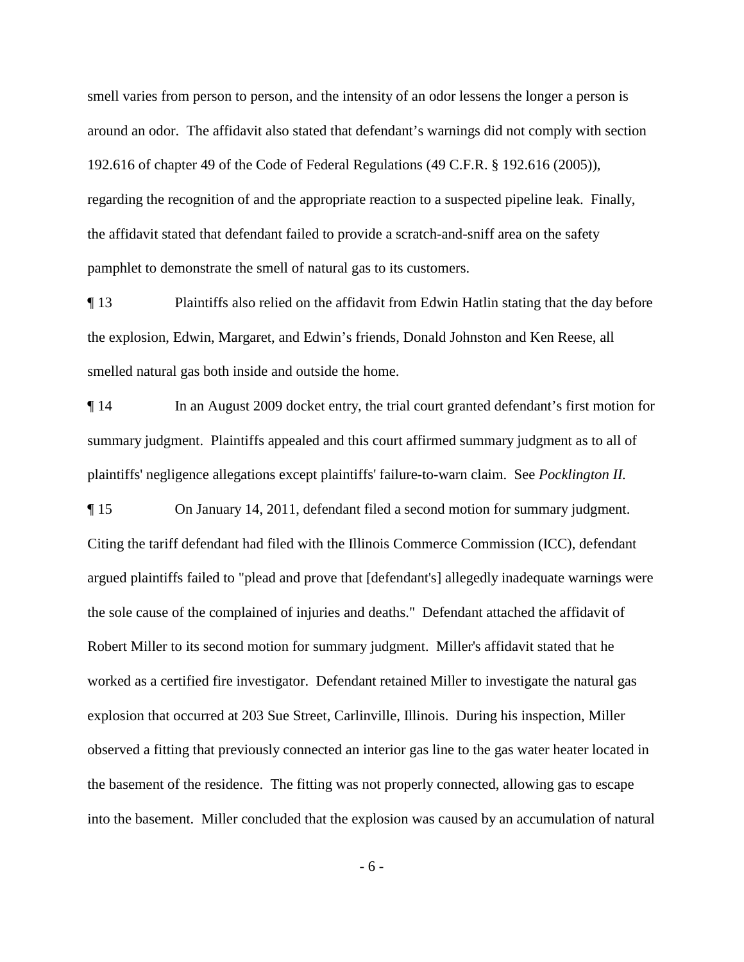smell varies from person to person, and the intensity of an odor lessens the longer a person is around an odor. The affidavit also stated that defendant's warnings did not comply with section 192.616 of chapter 49 of the Code of Federal Regulations (49 C.F.R. § 192.616 (2005)), regarding the recognition of and the appropriate reaction to a suspected pipeline leak. Finally, the affidavit stated that defendant failed to provide a scratch-and-sniff area on the safety pamphlet to demonstrate the smell of natural gas to its customers.

¶ 13 Plaintiffs also relied on the affidavit from Edwin Hatlin stating that the day before the explosion, Edwin, Margaret, and Edwin's friends, Donald Johnston and Ken Reese, all smelled natural gas both inside and outside the home.

¶ 14 In an August 2009 docket entry, the trial court granted defendant's first motion for summary judgment. Plaintiffs appealed and this court affirmed summary judgment as to all of plaintiffs' negligence allegations except plaintiffs' failure-to-warn claim. See *Pocklington II.*

¶ 15 On January 14, 2011, defendant filed a second motion for summary judgment. Citing the tariff defendant had filed with the Illinois Commerce Commission (ICC), defendant argued plaintiffs failed to "plead and prove that [defendant's] allegedly inadequate warnings were the sole cause of the complained of injuries and deaths." Defendant attached the affidavit of Robert Miller to its second motion for summary judgment. Miller's affidavit stated that he worked as a certified fire investigator. Defendant retained Miller to investigate the natural gas explosion that occurred at 203 Sue Street, Carlinville, Illinois. During his inspection, Miller observed a fitting that previously connected an interior gas line to the gas water heater located in the basement of the residence. The fitting was not properly connected, allowing gas to escape into the basement. Miller concluded that the explosion was caused by an accumulation of natural

- 6 -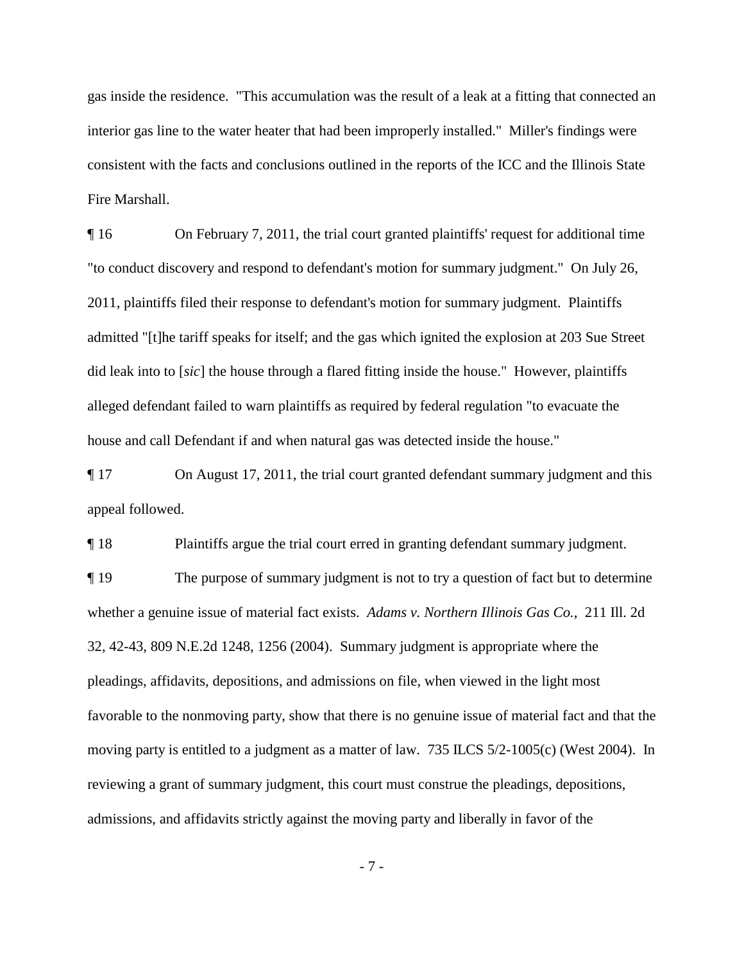gas inside the residence. "This accumulation was the result of a leak at a fitting that connected an interior gas line to the water heater that had been improperly installed." Miller's findings were consistent with the facts and conclusions outlined in the reports of the ICC and the Illinois State Fire Marshall.

¶ 16 On February 7, 2011, the trial court granted plaintiffs' request for additional time "to conduct discovery and respond to defendant's motion for summary judgment." On July 26, 2011, plaintiffs filed their response to defendant's motion for summary judgment. Plaintiffs admitted "[t]he tariff speaks for itself; and the gas which ignited the explosion at 203 Sue Street did leak into to [*sic*] the house through a flared fitting inside the house." However, plaintiffs alleged defendant failed to warn plaintiffs as required by federal regulation "to evacuate the house and call Defendant if and when natural gas was detected inside the house."

¶ 17 On August 17, 2011, the trial court granted defendant summary judgment and this appeal followed.

¶ 18 Plaintiffs argue the trial court erred in granting defendant summary judgment. ¶ 19 The purpose of summary judgment is not to try a question of fact but to determine whether a genuine issue of material fact exists. *Adams v. Northern Illinois Gas Co.*, 211 Ill. 2d 32, 42-43, 809 N.E.2d 1248, 1256 (2004). Summary judgment is appropriate where the pleadings, affidavits, depositions, and admissions on file, when viewed in the light most favorable to the nonmoving party, show that there is no genuine issue of material fact and that the moving party is entitled to a judgment as a matter of law. 735 ILCS 5/2-1005(c) (West 2004). In reviewing a grant of summary judgment, this court must construe the pleadings, depositions, admissions, and affidavits strictly against the moving party and liberally in favor of the

- 7 -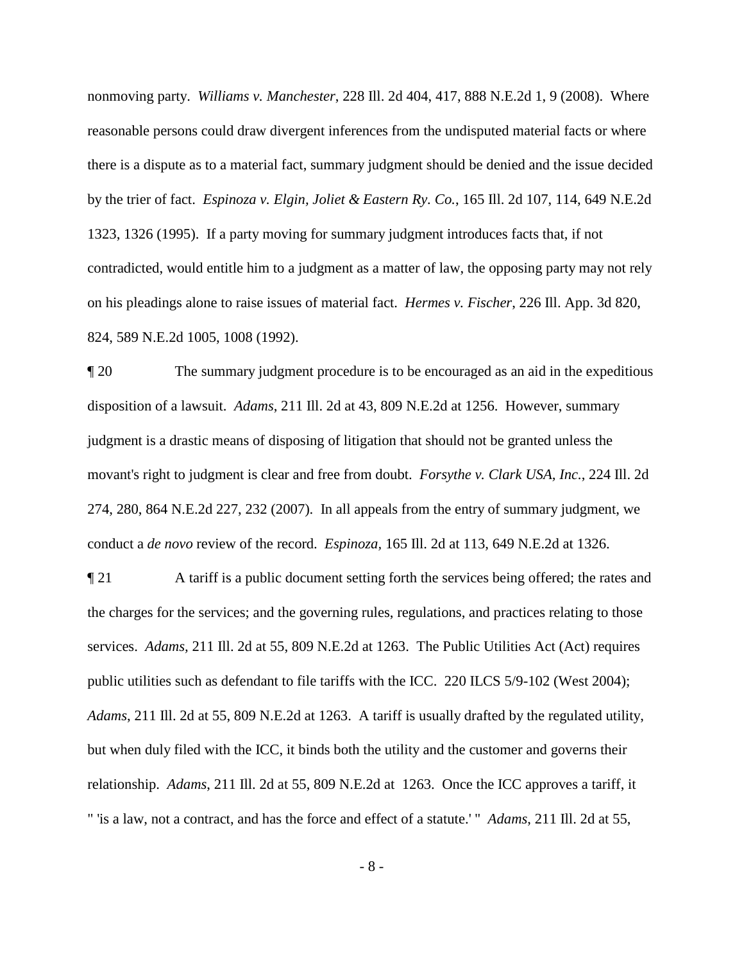nonmoving party. *Williams v. Manchester*, 228 Ill. 2d 404, 417, 888 N.E.2d 1, 9 (2008). Where reasonable persons could draw divergent inferences from the undisputed material facts or where there is a dispute as to a material fact, summary judgment should be denied and the issue decided by the trier of fact. *Espinoza v. Elgin, Joliet & Eastern Ry. Co.*, 165 Ill. 2d 107, 114, 649 N.E.2d 1323, 1326 (1995).If a party moving for summary judgment introduces facts that, if not contradicted, would entitle him to a judgment as a matter of law, the opposing party may not rely on his pleadings alone to raise issues of material fact. *Hermes v. Fischer*, 226 Ill. App. 3d 820, 824, 589 N.E.2d 1005, 1008 (1992).

¶ 20 The summary judgment procedure is to be encouraged as an aid in the expeditious disposition of a lawsuit. *Adams*, 211 Ill. 2d at 43, 809 N.E.2d at 1256. However, summary judgment is a drastic means of disposing of litigation that should not be granted unless the movant's right to judgment is clear and free from doubt. *Forsythe v. Clark USA, Inc.*, 224 Ill. 2d 274, 280, 864 N.E.2d 227, 232 (2007). In all appeals from the entry of summary judgment, we conduct a *de novo* review of the record. *Espinoza,* 165 Ill. 2d at 113, 649 N.E.2d at 1326.

¶ 21 A tariff is a public document setting forth the services being offered; the rates and the charges for the services; and the governing rules, regulations, and practices relating to those services. *Adams,* 211 Ill. 2d at 55, 809 N.E.2d at 1263. The Public Utilities Act (Act) requires public utilities such as defendant to file tariffs with the ICC. 220 ILCS 5/9-102 (West 2004); *Adams*, 211 Ill. 2d at 55, 809 N.E.2d at 1263. A tariff is usually drafted by the regulated utility, but when duly filed with the ICC, it binds both the utility and the customer and governs their relationship. *Adams*, 211 Ill. 2d at 55, 809 N.E.2d at 1263. Once the ICC approves a tariff, it " 'is a law, not a contract, and has the force and effect of a statute.' " *Adams*, 211 Ill. 2d at 55,

- 8 -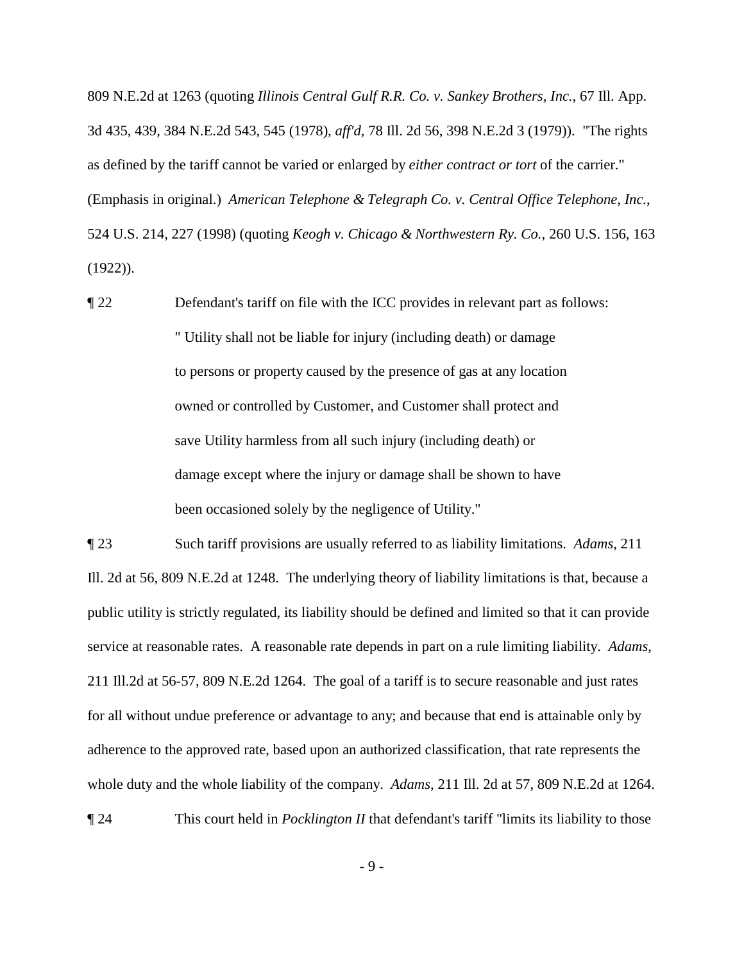809 N.E.2d at 1263 (quoting *Illinois Central Gulf R.R. Co. v. Sankey Brothers, Inc.*, 67 Ill. App. 3d 435, 439, 384 N.E.2d 543, 545 (1978), *aff'd*, 78 Ill. 2d 56, 398 N.E.2d 3 (1979)). "The rights as defined by the tariff cannot be varied or enlarged by *either contract or tort* of the carrier." (Emphasis in original.) *American Telephone & Telegraph Co. v. Central Office Telephone, Inc.*, 524 U.S. 214, 227 (1998) (quoting *Keogh v. Chicago & Northwestern Ry. Co.*, 260 U.S. 156, 163 (1922)).

¶ 22 Defendant's tariff on file with the ICC provides in relevant part as follows: " Utility shall not be liable for injury (including death) or damage to persons or property caused by the presence of gas at any location owned or controlled by Customer, and Customer shall protect and save Utility harmless from all such injury (including death) or damage except where the injury or damage shall be shown to have been occasioned solely by the negligence of Utility."

¶ 23 Such tariff provisions are usually referred to as liability limitations. *Adams*, 211 Ill. 2d at 56, 809 N.E.2d at 1248. The underlying theory of liability limitations is that, because a public utility is strictly regulated, its liability should be defined and limited so that it can provide service at reasonable rates. A reasonable rate depends in part on a rule limiting liability. *Adams*, 211 Ill.2d at 56-57, 809 N.E.2d 1264. The goal of a tariff is to secure reasonable and just rates for all without undue preference or advantage to any; and because that end is attainable only by adherence to the approved rate, based upon an authorized classification, that rate represents the whole duty and the whole liability of the company. *Adams*, 211 Ill. 2d at 57, 809 N.E.2d at 1264.

¶ 24 This court held in *Pocklington II* that defendant's tariff "limits its liability to those

- 9 -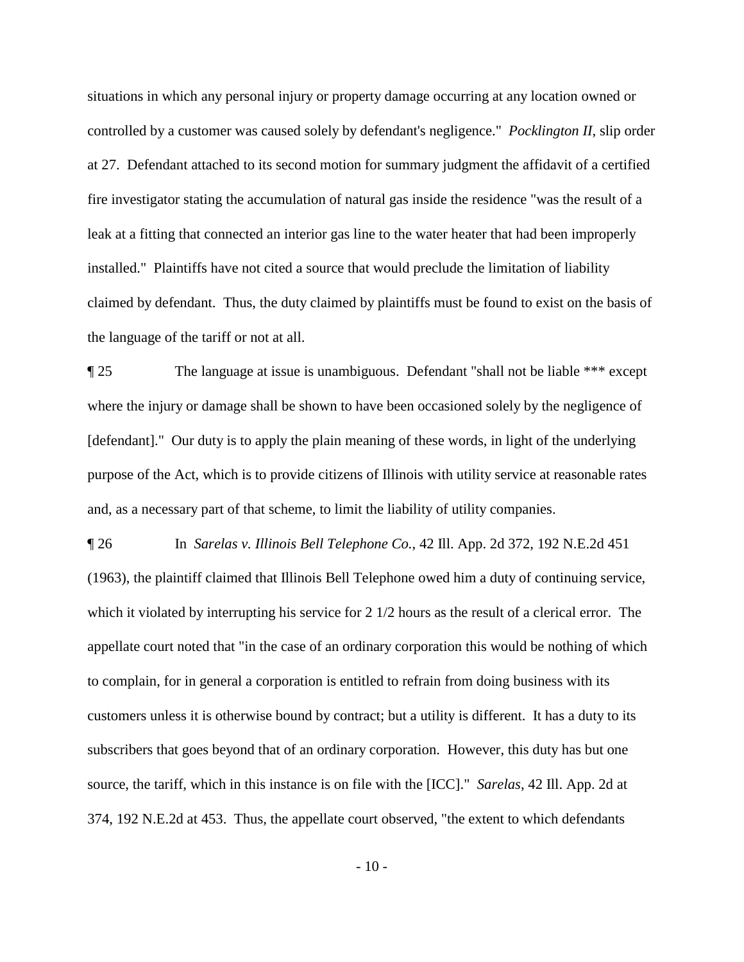situations in which any personal injury or property damage occurring at any location owned or controlled by a customer was caused solely by defendant's negligence." *Pocklington II*, slip order at 27. Defendant attached to its second motion for summary judgment the affidavit of a certified fire investigator stating the accumulation of natural gas inside the residence "was the result of a leak at a fitting that connected an interior gas line to the water heater that had been improperly installed." Plaintiffs have not cited a source that would preclude the limitation of liability claimed by defendant. Thus, the duty claimed by plaintiffs must be found to exist on the basis of the language of the tariff or not at all.

¶ 25 The language at issue is unambiguous. Defendant "shall not be liable \*\*\* except where the injury or damage shall be shown to have been occasioned solely by the negligence of [defendant]." Our duty is to apply the plain meaning of these words, in light of the underlying purpose of the Act, which is to provide citizens of Illinois with utility service at reasonable rates and, as a necessary part of that scheme, to limit the liability of utility companies.

¶ 26 In *Sarelas v. Illinois Bell Telephone Co.*, 42 Ill. App. 2d 372, 192 N.E.2d 451 (1963), the plaintiff claimed that Illinois Bell Telephone owed him a duty of continuing service, which it violated by interrupting his service for 2  $1/2$  hours as the result of a clerical error. The appellate court noted that "in the case of an ordinary corporation this would be nothing of which to complain, for in general a corporation is entitled to refrain from doing business with its customers unless it is otherwise bound by contract; but a utility is different. It has a duty to its subscribers that goes beyond that of an ordinary corporation. However, this duty has but one source, the tariff, which in this instance is on file with the [ICC]." *Sarelas*, 42 Ill. App. 2d at 374, 192 N.E.2d at 453. Thus, the appellate court observed, "the extent to which defendants

 $-10-$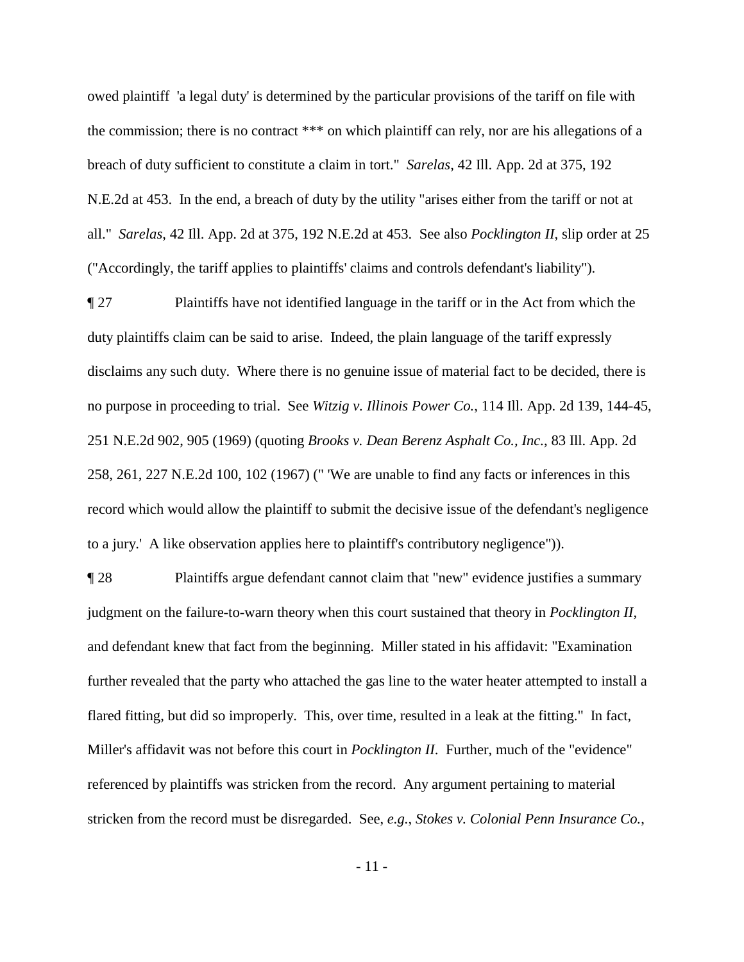owed plaintiff 'a legal duty' is determined by the particular provisions of the tariff on file with the commission; there is no contract \*\*\* on which plaintiff can rely, nor are his allegations of a breach of duty sufficient to constitute a claim in tort." *Sarelas*, 42 Ill. App. 2d at 375, 192 N.E.2d at 453. In the end, a breach of duty by the utility "arises either from the tariff or not at all." *Sarelas*, 42 Ill. App. 2d at 375, 192 N.E.2d at 453. See also *Pocklington II*, slip order at 25 ("Accordingly, the tariff applies to plaintiffs' claims and controls defendant's liability").

¶ 27 Plaintiffs have not identified language in the tariff or in the Act from which the duty plaintiffs claim can be said to arise. Indeed, the plain language of the tariff expressly disclaims any such duty. Where there is no genuine issue of material fact to be decided, there is no purpose in proceeding to trial. See *Witzig v. Illinois Power Co.*, 114 Ill. App. 2d 139, 144-45, 251 N.E.2d 902, 905 (1969) (quoting *Brooks v. Dean Berenz Asphalt Co., Inc.*, 83 Ill. App. 2d 258, 261, 227 N.E.2d 100, 102 (1967) (" 'We are unable to find any facts or inferences in this record which would allow the plaintiff to submit the decisive issue of the defendant's negligence to a jury.' A like observation applies here to plaintiff's contributory negligence")).

¶ 28 Plaintiffs argue defendant cannot claim that "new" evidence justifies a summary judgment on the failure-to-warn theory when this court sustained that theory in *Pocklington II*, and defendant knew that fact from the beginning. Miller stated in his affidavit: "Examination further revealed that the party who attached the gas line to the water heater attempted to install a flared fitting, but did so improperly. This, over time, resulted in a leak at the fitting." In fact, Miller's affidavit was not before this court in *Pocklington II*. Further, much of the "evidence" referenced by plaintiffs was stricken from the record. Any argument pertaining to material stricken from the record must be disregarded. See, *e.g.*, *Stokes v. Colonial Penn Insurance Co.*,

- 11 -